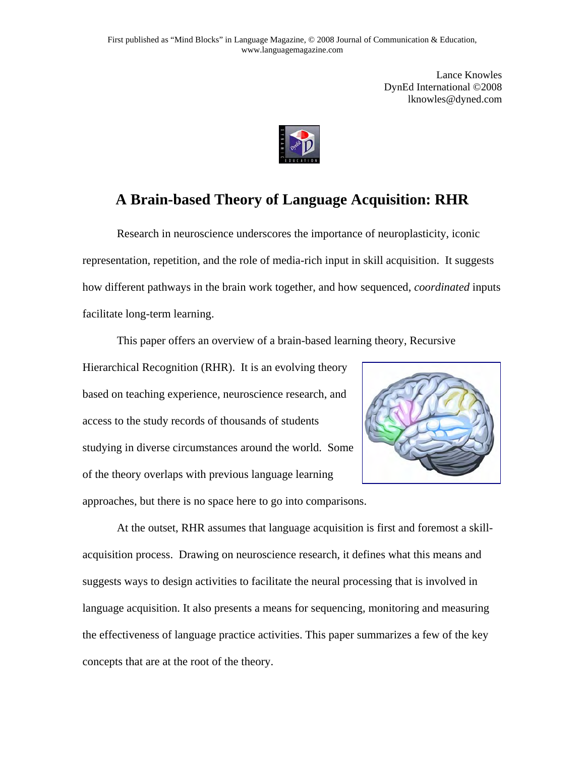Lance Knowles DynEd International ©2008 lknowles@dyned.com



# **A Brain-based Theory of Language Acquisition: RHR**

Research in neuroscience underscores the importance of neuroplasticity, iconic representation, repetition, and the role of media-rich input in skill acquisition. It suggests how different pathways in the brain work together, and how sequenced, *coordinated* inputs facilitate long-term learning.

This paper offers an overview of a brain-based learning theory, Recursive

Hierarchical Recognition (RHR). It is an evolving theory based on teaching experience, neuroscience research, and access to the study records of thousands of students studying in diverse circumstances around the world. Some of the theory overlaps with previous language learning approaches, but there is no space here to go into comparisons.



At the outset, RHR assumes that language acquisition is first and foremost a skillacquisition process. Drawing on neuroscience research, it defines what this means and suggests ways to design activities to facilitate the neural processing that is involved in language acquisition. It also presents a means for sequencing, monitoring and measuring the effectiveness of language practice activities. This paper summarizes a few of the key concepts that are at the root of the theory.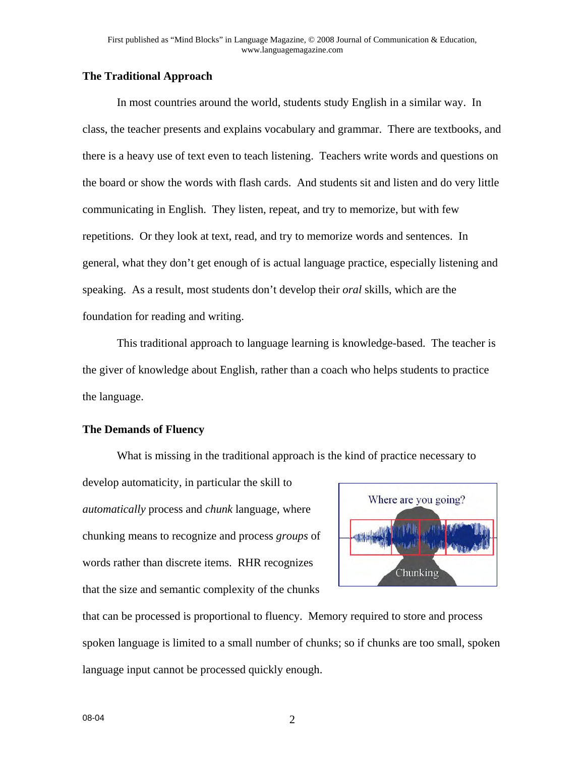## **The Traditional Approach**

In most countries around the world, students study English in a similar way. In class, the teacher presents and explains vocabulary and grammar. There are textbooks, and there is a heavy use of text even to teach listening. Teachers write words and questions on the board or show the words with flash cards. And students sit and listen and do very little communicating in English. They listen, repeat, and try to memorize, but with few repetitions. Or they look at text, read, and try to memorize words and sentences. In general, what they don't get enough of is actual language practice, especially listening and speaking. As a result, most students don't develop their *oral* skills, which are the foundation for reading and writing.

This traditional approach to language learning is knowledge-based. The teacher is the giver of knowledge about English, rather than a coach who helps students to practice the language.

#### **The Demands of Fluency**

What is missing in the traditional approach is the kind of practice necessary to

develop automaticity, in particular the skill to *automatically* process and *chunk* language, where chunking means to recognize and process *groups* of words rather than discrete items. RHR recognizes that the size and semantic complexity of the chunks



that can be processed is proportional to fluency. Memory required to store and process spoken language is limited to a small number of chunks; so if chunks are too small, spoken language input cannot be processed quickly enough.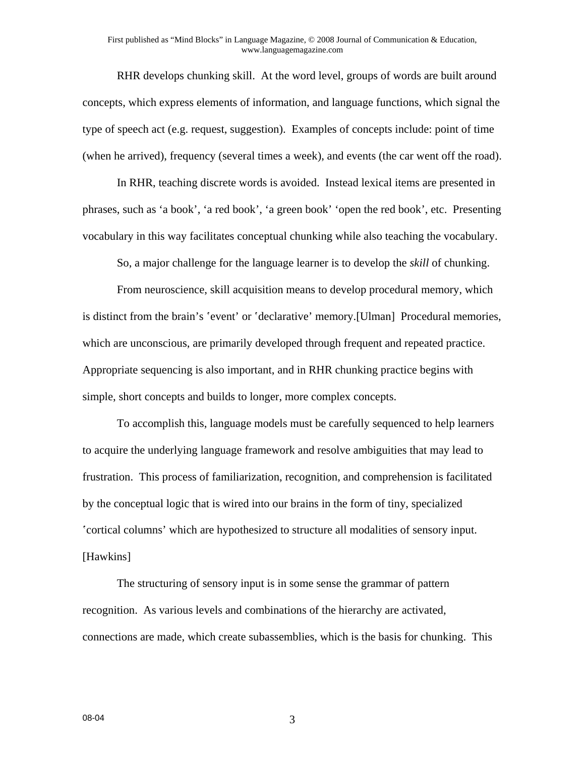#### First published as "Mind Blocks" in Language Magazine, © 2008 Journal of Communication & Education, www.languagemagazine.com

RHR develops chunking skill. At the word level, groups of words are built around concepts, which express elements of information, and language functions, which signal the type of speech act (e.g. request, suggestion). Examples of concepts include: point of time (when he arrived), frequency (several times a week), and events (the car went off the road).

In RHR, teaching discrete words is avoided. Instead lexical items are presented in phrases, such as 'a book', 'a red book', 'a green book' 'open the red book', etc. Presenting vocabulary in this way facilitates conceptual chunking while also teaching the vocabulary.

So, a major challenge for the language learner is to develop the *skill* of chunking.

From neuroscience, skill acquisition means to develop procedural memory, which is distinct from the brain's 'event' or 'declarative' memory.[Ulman] Procedural memories, which are unconscious, are primarily developed through frequent and repeated practice. Appropriate sequencing is also important, and in RHR chunking practice begins with simple, short concepts and builds to longer, more complex concepts.

To accomplish this, language models must be carefully sequenced to help learners to acquire the underlying language framework and resolve ambiguities that may lead to frustration. This process of familiarization, recognition, and comprehension is facilitated by the conceptual logic that is wired into our brains in the form of tiny, specialized 'cortical columns' which are hypothesized to structure all modalities of sensory input. [Hawkins]

The structuring of sensory input is in some sense the grammar of pattern recognition. As various levels and combinations of the hierarchy are activated, connections are made, which create subassemblies, which is the basis for chunking. This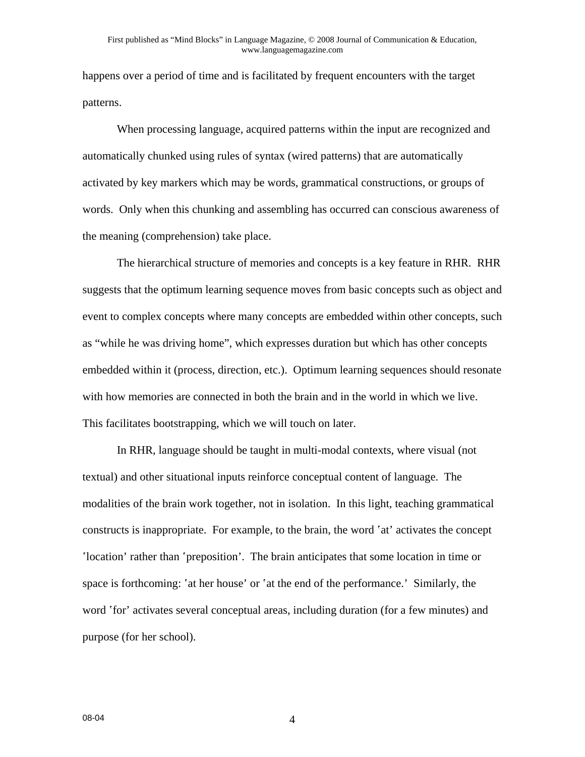happens over a period of time and is facilitated by frequent encounters with the target patterns.

When processing language, acquired patterns within the input are recognized and automatically chunked using rules of syntax (wired patterns) that are automatically activated by key markers which may be words, grammatical constructions, or groups of words. Only when this chunking and assembling has occurred can conscious awareness of the meaning (comprehension) take place.

The hierarchical structure of memories and concepts is a key feature in RHR. RHR suggests that the optimum learning sequence moves from basic concepts such as object and event to complex concepts where many concepts are embedded within other concepts, such as "while he was driving home", which expresses duration but which has other concepts embedded within it (process, direction, etc.). Optimum learning sequences should resonate with how memories are connected in both the brain and in the world in which we live. This facilitates bootstrapping, which we will touch on later.

In RHR, language should be taught in multi-modal contexts, where visual (not textual) and other situational inputs reinforce conceptual content of language. The modalities of the brain work together, not in isolation. In this light, teaching grammatical constructs is inappropriate. For example, to the brain, the word 'at' activates the concept 'location' rather than 'preposition'. The brain anticipates that some location in time or space is forthcoming: 'at her house' or 'at the end of the performance.' Similarly, the word 'for' activates several conceptual areas, including duration (for a few minutes) and purpose (for her school).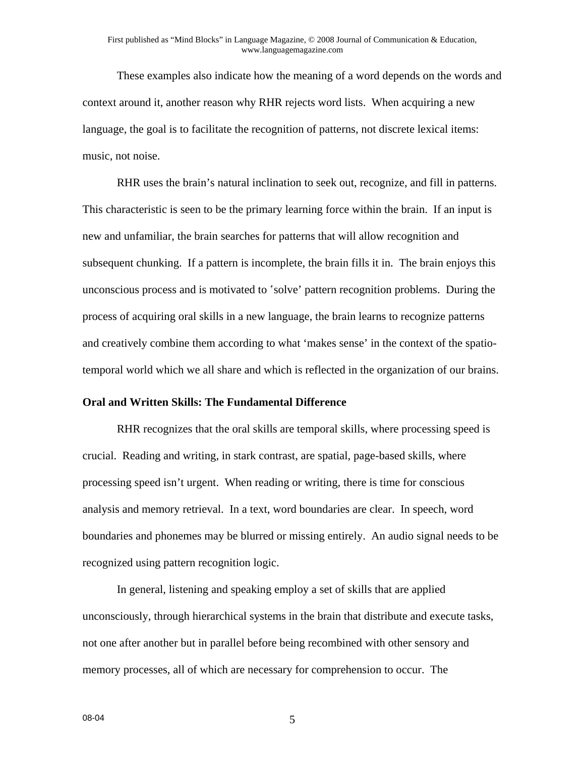These examples also indicate how the meaning of a word depends on the words and context around it, another reason why RHR rejects word lists. When acquiring a new language, the goal is to facilitate the recognition of patterns, not discrete lexical items: music, not noise.

RHR uses the brain's natural inclination to seek out, recognize, and fill in patterns. This characteristic is seen to be the primary learning force within the brain. If an input is new and unfamiliar, the brain searches for patterns that will allow recognition and subsequent chunking. If a pattern is incomplete, the brain fills it in. The brain enjoys this unconscious process and is motivated to 'solve' pattern recognition problems. During the process of acquiring oral skills in a new language, the brain learns to recognize patterns and creatively combine them according to what 'makes sense' in the context of the spatiotemporal world which we all share and which is reflected in the organization of our brains.

#### **Oral and Written Skills: The Fundamental Difference**

RHR recognizes that the oral skills are temporal skills, where processing speed is crucial. Reading and writing, in stark contrast, are spatial, page-based skills, where processing speed isn't urgent. When reading or writing, there is time for conscious analysis and memory retrieval. In a text, word boundaries are clear. In speech, word boundaries and phonemes may be blurred or missing entirely. An audio signal needs to be recognized using pattern recognition logic.

In general, listening and speaking employ a set of skills that are applied unconsciously, through hierarchical systems in the brain that distribute and execute tasks, not one after another but in parallel before being recombined with other sensory and memory processes, all of which are necessary for comprehension to occur. The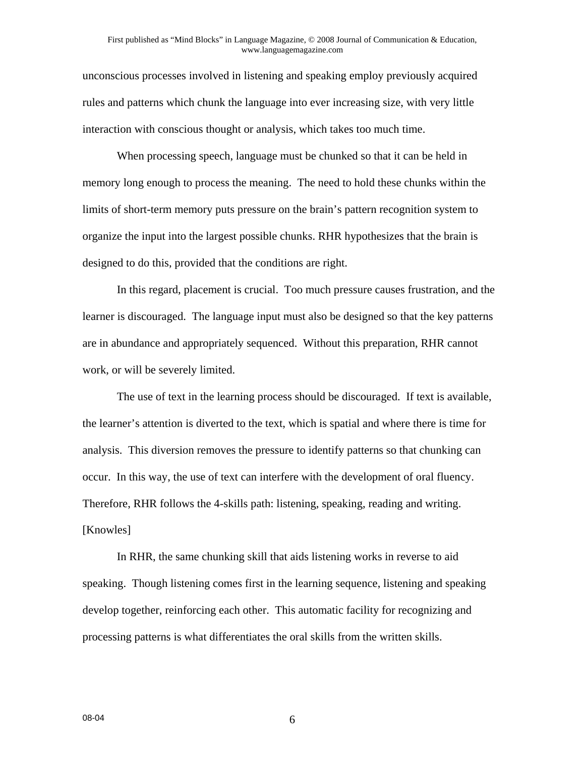#### First published as "Mind Blocks" in Language Magazine, © 2008 Journal of Communication & Education, www.languagemagazine.com

unconscious processes involved in listening and speaking employ previously acquired rules and patterns which chunk the language into ever increasing size, with very little interaction with conscious thought or analysis, which takes too much time.

When processing speech, language must be chunked so that it can be held in memory long enough to process the meaning. The need to hold these chunks within the limits of short-term memory puts pressure on the brain's pattern recognition system to organize the input into the largest possible chunks. RHR hypothesizes that the brain is designed to do this, provided that the conditions are right.

In this regard, placement is crucial. Too much pressure causes frustration, and the learner is discouraged. The language input must also be designed so that the key patterns are in abundance and appropriately sequenced. Without this preparation, RHR cannot work, or will be severely limited.

The use of text in the learning process should be discouraged. If text is available, the learner's attention is diverted to the text, which is spatial and where there is time for analysis. This diversion removes the pressure to identify patterns so that chunking can occur. In this way, the use of text can interfere with the development of oral fluency. Therefore, RHR follows the 4-skills path: listening, speaking, reading and writing. [Knowles]

In RHR, the same chunking skill that aids listening works in reverse to aid speaking. Though listening comes first in the learning sequence, listening and speaking develop together, reinforcing each other. This automatic facility for recognizing and processing patterns is what differentiates the oral skills from the written skills.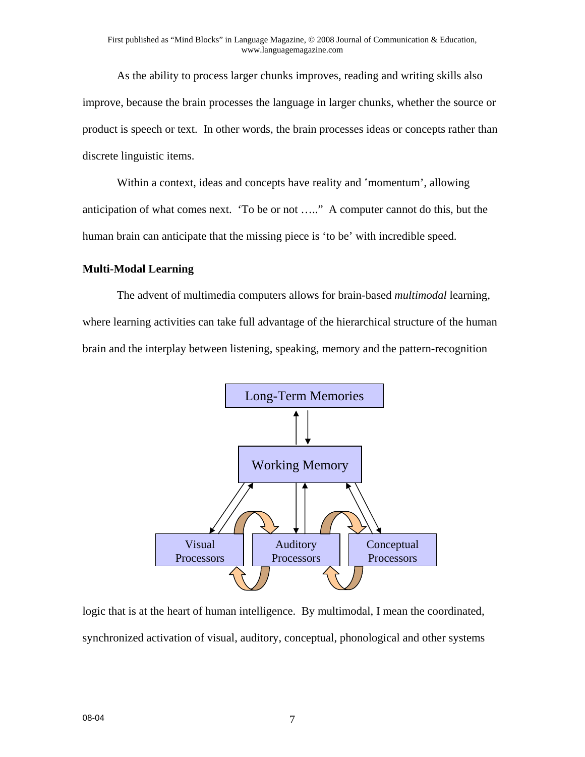As the ability to process larger chunks improves, reading and writing skills also improve, because the brain processes the language in larger chunks, whether the source or product is speech or text. In other words, the brain processes ideas or concepts rather than discrete linguistic items.

Within a context, ideas and concepts have reality and 'momentum', allowing anticipation of what comes next. 'To be or not ….." A computer cannot do this, but the human brain can anticipate that the missing piece is 'to be' with incredible speed.

# **Multi-Modal Learning**

The advent of multimedia computers allows for brain-based *multimodal* learning, where learning activities can take full advantage of the hierarchical structure of the human brain and the interplay between listening, speaking, memory and the pattern-recognition



logic that is at the heart of human intelligence. By multimodal, I mean the coordinated, synchronized activation of visual, auditory, conceptual, phonological and other systems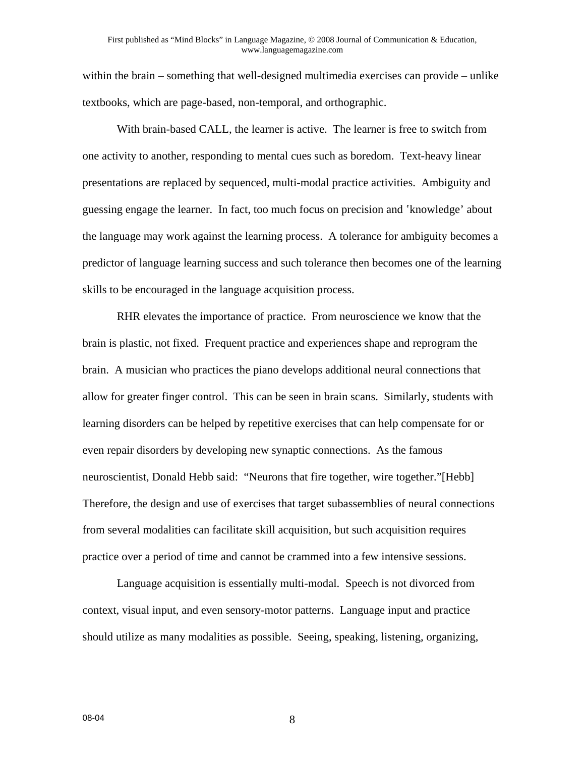within the brain – something that well-designed multimedia exercises can provide – unlike textbooks, which are page-based, non-temporal, and orthographic.

With brain-based CALL, the learner is active. The learner is free to switch from one activity to another, responding to mental cues such as boredom. Text-heavy linear presentations are replaced by sequenced, multi-modal practice activities. Ambiguity and guessing engage the learner. In fact, too much focus on precision and 'knowledge' about the language may work against the learning process. A tolerance for ambiguity becomes a predictor of language learning success and such tolerance then becomes one of the learning skills to be encouraged in the language acquisition process.

RHR elevates the importance of practice. From neuroscience we know that the brain is plastic, not fixed. Frequent practice and experiences shape and reprogram the brain. A musician who practices the piano develops additional neural connections that allow for greater finger control. This can be seen in brain scans. Similarly, students with learning disorders can be helped by repetitive exercises that can help compensate for or even repair disorders by developing new synaptic connections. As the famous neuroscientist, Donald Hebb said: "Neurons that fire together, wire together."[Hebb] Therefore, the design and use of exercises that target subassemblies of neural connections from several modalities can facilitate skill acquisition, but such acquisition requires practice over a period of time and cannot be crammed into a few intensive sessions.

Language acquisition is essentially multi-modal. Speech is not divorced from context, visual input, and even sensory-motor patterns. Language input and practice should utilize as many modalities as possible. Seeing, speaking, listening, organizing,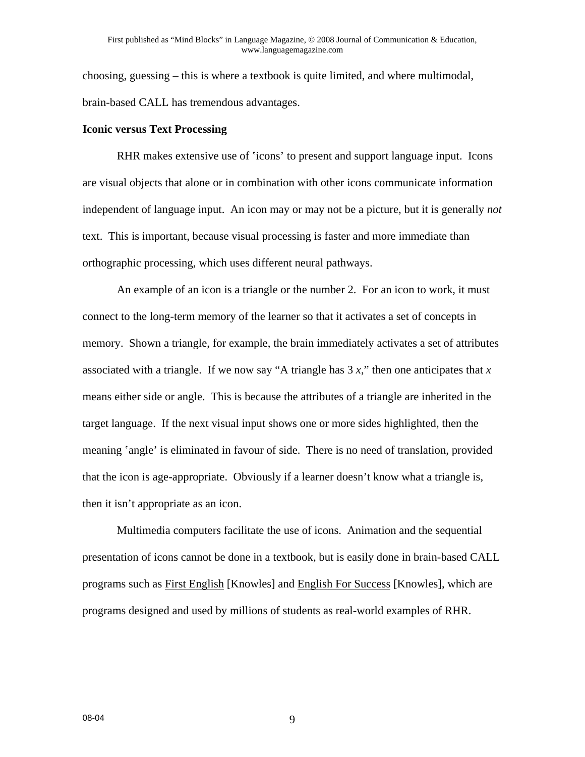choosing, guessing – this is where a textbook is quite limited, and where multimodal, brain-based CALL has tremendous advantages.

#### **Iconic versus Text Processing**

RHR makes extensive use of 'icons' to present and support language input. Icons are visual objects that alone or in combination with other icons communicate information independent of language input. An icon may or may not be a picture, but it is generally *not* text. This is important, because visual processing is faster and more immediate than orthographic processing, which uses different neural pathways.

An example of an icon is a triangle or the number 2. For an icon to work, it must connect to the long-term memory of the learner so that it activates a set of concepts in memory. Shown a triangle, for example, the brain immediately activates a set of attributes associated with a triangle. If we now say "A triangle has  $3 x$ ," then one anticipates that  $x$ means either side or angle. This is because the attributes of a triangle are inherited in the target language. If the next visual input shows one or more sides highlighted, then the meaning 'angle' is eliminated in favour of side. There is no need of translation, provided that the icon is age-appropriate. Obviously if a learner doesn't know what a triangle is, then it isn't appropriate as an icon.

Multimedia computers facilitate the use of icons. Animation and the sequential presentation of icons cannot be done in a textbook, but is easily done in brain-based CALL programs such as First English [Knowles] and English For Success [Knowles], which are programs designed and used by millions of students as real-world examples of RHR.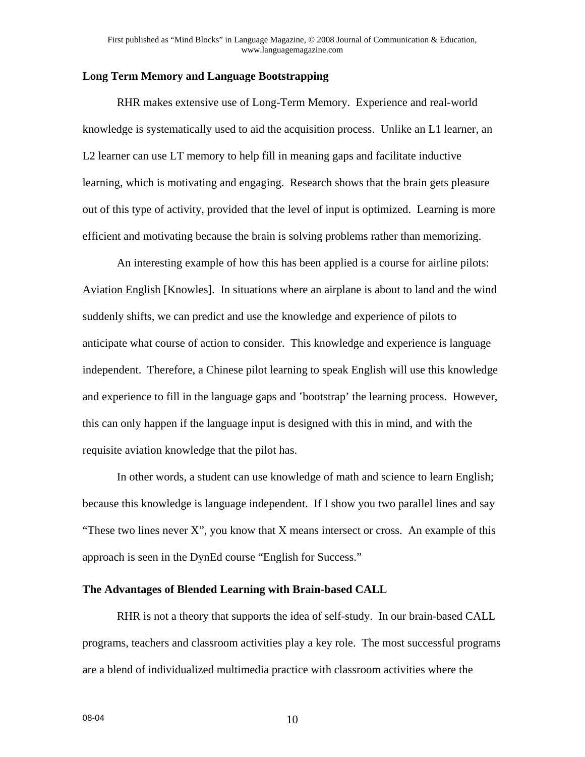## **Long Term Memory and Language Bootstrapping**

RHR makes extensive use of Long-Term Memory. Experience and real-world knowledge is systematically used to aid the acquisition process. Unlike an L1 learner, an L2 learner can use LT memory to help fill in meaning gaps and facilitate inductive learning, which is motivating and engaging. Research shows that the brain gets pleasure out of this type of activity, provided that the level of input is optimized. Learning is more efficient and motivating because the brain is solving problems rather than memorizing.

An interesting example of how this has been applied is a course for airline pilots: Aviation English [Knowles]. In situations where an airplane is about to land and the wind suddenly shifts, we can predict and use the knowledge and experience of pilots to anticipate what course of action to consider. This knowledge and experience is language independent. Therefore, a Chinese pilot learning to speak English will use this knowledge and experience to fill in the language gaps and 'bootstrap' the learning process. However, this can only happen if the language input is designed with this in mind, and with the requisite aviation knowledge that the pilot has.

In other words, a student can use knowledge of math and science to learn English; because this knowledge is language independent. If I show you two parallel lines and say "These two lines never  $X$ ", you know that  $X$  means intersect or cross. An example of this approach is seen in the DynEd course "English for Success."

### **The Advantages of Blended Learning with Brain-based CALL**

RHR is not a theory that supports the idea of self-study. In our brain-based CALL programs, teachers and classroom activities play a key role. The most successful programs are a blend of individualized multimedia practice with classroom activities where the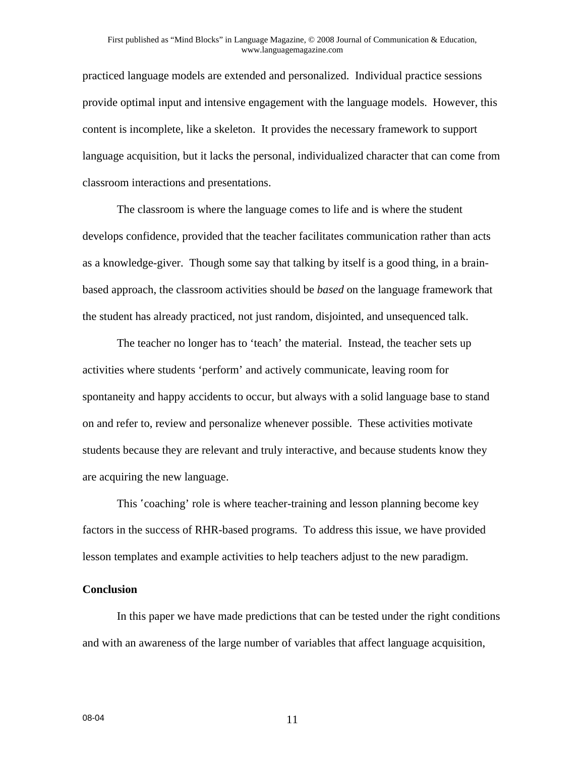practiced language models are extended and personalized. Individual practice sessions provide optimal input and intensive engagement with the language models. However, this content is incomplete, like a skeleton. It provides the necessary framework to support language acquisition, but it lacks the personal, individualized character that can come from classroom interactions and presentations.

The classroom is where the language comes to life and is where the student develops confidence, provided that the teacher facilitates communication rather than acts as a knowledge-giver. Though some say that talking by itself is a good thing, in a brainbased approach, the classroom activities should be *based* on the language framework that the student has already practiced, not just random, disjointed, and unsequenced talk.

The teacher no longer has to 'teach' the material. Instead, the teacher sets up activities where students 'perform' and actively communicate, leaving room for spontaneity and happy accidents to occur, but always with a solid language base to stand on and refer to, review and personalize whenever possible. These activities motivate students because they are relevant and truly interactive, and because students know they are acquiring the new language.

 This 'coaching' role is where teacher-training and lesson planning become key factors in the success of RHR-based programs. To address this issue, we have provided lesson templates and example activities to help teachers adjust to the new paradigm.

### **Conclusion**

In this paper we have made predictions that can be tested under the right conditions and with an awareness of the large number of variables that affect language acquisition,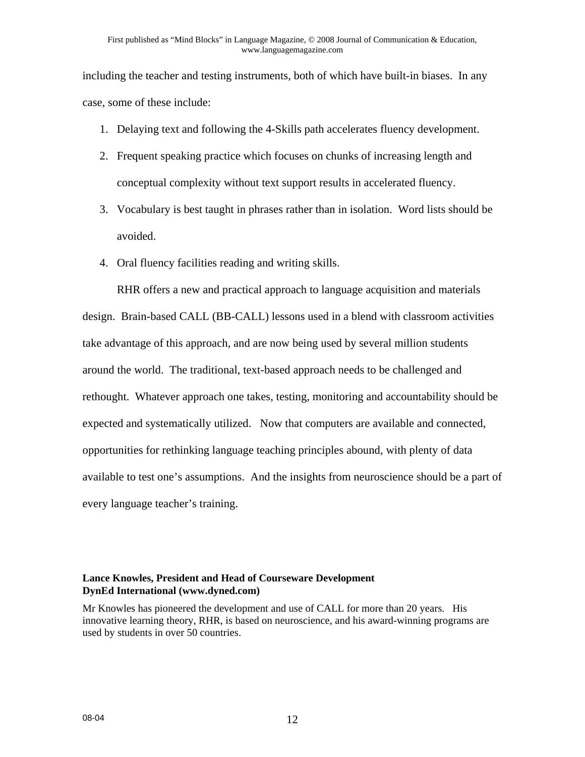including the teacher and testing instruments, both of which have built-in biases. In any case, some of these include:

- 1. Delaying text and following the 4-Skills path accelerates fluency development.
- 2. Frequent speaking practice which focuses on chunks of increasing length and conceptual complexity without text support results in accelerated fluency.
- 3. Vocabulary is best taught in phrases rather than in isolation. Word lists should be avoided.
- 4. Oral fluency facilities reading and writing skills.

RHR offers a new and practical approach to language acquisition and materials design. Brain-based CALL (BB-CALL) lessons used in a blend with classroom activities take advantage of this approach, and are now being used by several million students around the world. The traditional, text-based approach needs to be challenged and rethought. Whatever approach one takes, testing, monitoring and accountability should be expected and systematically utilized. Now that computers are available and connected, opportunities for rethinking language teaching principles abound, with plenty of data available to test one's assumptions. And the insights from neuroscience should be a part of every language teacher's training.

# **Lance Knowles, President and Head of Courseware Development DynEd International (www.dyned.com)**

Mr Knowles has pioneered the development and use of CALL for more than 20 years. His innovative learning theory, RHR, is based on neuroscience, and his award-winning programs are used by students in over 50 countries.